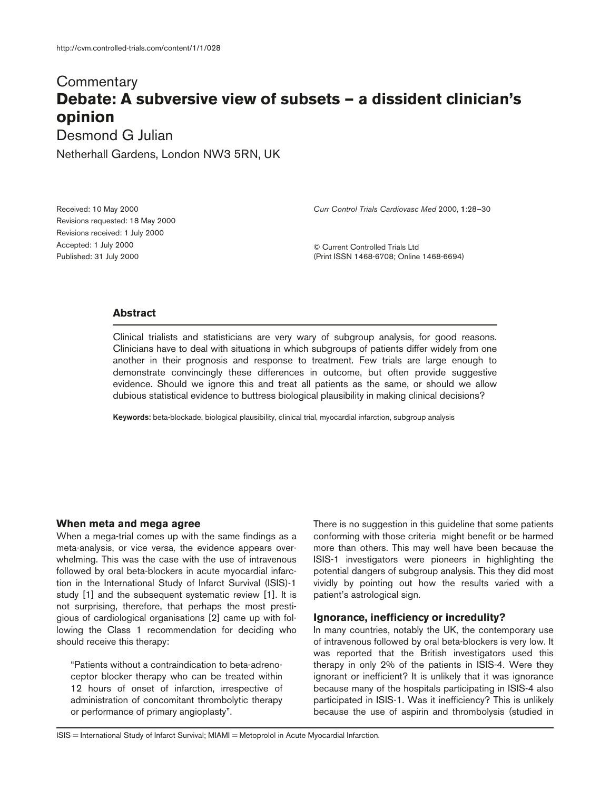# **Commentary Debate: A subversive view of subsets — a dissident clinician's opinion**

Desmond G Julian

Netherhall Gardens, London NW3 5RN, UK

Received: 10 May 2000 Revisions requested: 18 May 2000 Revisions received: 1 July 2000 Accepted: 1 July 2000 Published: 31 July 2000

*Curr Control Trials Cardiovasc Med* 2000, **1**:28–30

© Current Controlled Trials Ltd (Print ISSN 1468-6708; Online 1468-6694)

## **Abstract**

Clinical trialists and statisticians are very wary of subgroup analysis, for good reasons. Clinicians have to deal with situations in which subgroups of patients differ widely from one another in their prognosis and response to treatment. Few trials are large enough to demonstrate convincingly these differences in outcome, but often provide suggestive evidence. Should we ignore this and treat all patients as the same, or should we allow dubious statistical evidence to buttress biological plausibility in making clinical decisions?

**Keywords:** beta-blockade, biological plausibility, clinical trial, myocardial infarction, subgroup analysis

#### **When meta and mega agree**

When a mega-trial comes up with the same findings as a meta-analysis, or vice versa*,* the evidence appears overwhelming. This was the case with the use of intravenous followed by oral beta-blockers in acute myocardial infarction in the International Study of Infarct Survival (ISIS)-1 study [1] and the subsequent systematic review [1]. It is not surprising, therefore, that perhaps the most prestigious of cardiological organisations [2] came up with following the Class 1 recommendation for deciding who should receive this therapy:

"Patients without a contraindication to beta-adrenoceptor blocker therapy who can be treated within 12 hours of onset of infarction, irrespective of administration of concomitant thrombolytic therapy or performance of primary angioplasty".

There is no suggestion in this guideline that some patients conforming with those criteria might benefit or be harmed more than others. This may well have been because the ISIS-1 investigators were pioneers in highlighting the potential dangers of subgroup analysis. This they did most vividly by pointing out how the results varied with a patient's astrological sign.

## **Ignorance, inefficiency or incredulity?**

In many countries, notably the UK, the contemporary use of intravenous followed by oral beta-blockers is very low. It was reported that the British investigators used this therapy in only 2% of the patients in ISIS-4. Were they ignorant or inefficient? It is unlikely that it was ignorance because many of the hospitals participating in ISIS-4 also participated in ISIS-1. Was it inefficiency? This is unlikely because the use of aspirin and thrombolysis (studied in

ISIS = International Study of Infarct Survival; MIAMI = Metoprolol in Acute Myocardial Infarction.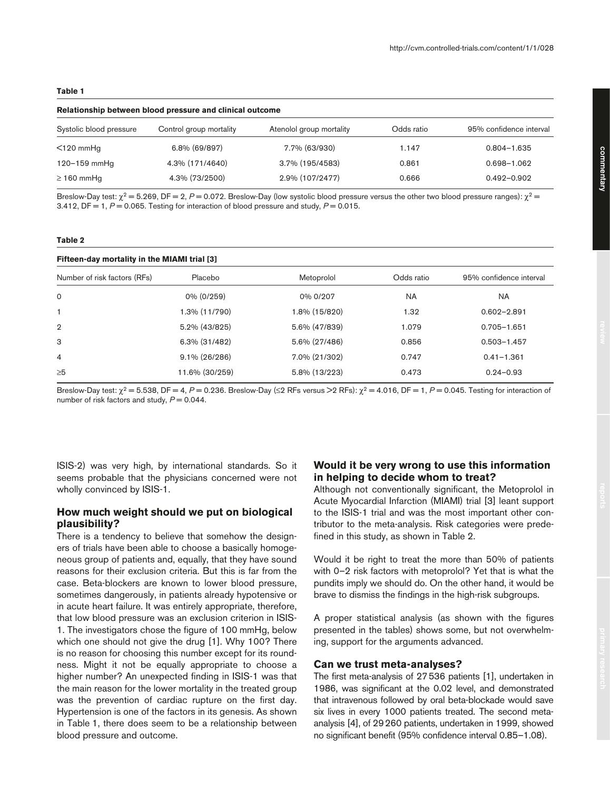# **Relationship between blood pressure and clinical outcome** Systolic blood pressure Control group mortality Atenolol group mortality Odds ratio 95% confidence interval <120 mmHg 6.8% (69/897) 7.7% (63/930) 1.147 0.804–1.635 120–159 mmHg 4.3% (171/4640) 3.7% (195/4583) 0.861 0.698–1.062  $≥ 160$  mmHg  $4.3\% (73/2500)$   $2.9\% (107/2477)$   $0.666$   $0.492-0.902$

Breslow-Day test:  $\chi^2$  = 5.269, DF = 2, P = 0.072. Breslow-Day (low systolic blood pressure versus the other two blood pressure ranges):  $\chi^2$  = 3.412,  $DF = 1$ ,  $P = 0.065$ . Testing for interaction of blood pressure and study,  $P = 0.015$ .

#### **Table 2**

**Table 1**

| Fifteen-day mortality in the MIAMI trial [3] |                |               |            |                         |
|----------------------------------------------|----------------|---------------|------------|-------------------------|
| Number of risk factors (RFs)                 | Placebo        | Metoprolol    | Odds ratio | 95% confidence interval |
| 0                                            | 0% (0/259)     | 0% 0/207      | <b>NA</b>  | <b>NA</b>               |
| 1                                            | 1.3% (11/790)  | 1.8% (15/820) | 1.32       | $0.602 - 2.891$         |
| $\overline{2}$                               | 5.2% (43/825)  | 5.6% (47/839) | 1.079      | $0.705 - 1.651$         |
| 3                                            | 6.3% (31/482)  | 5.6% (27/486) | 0.856      | $0.503 - 1.457$         |
| $\overline{4}$                               | 9.1% (26/286)  | 7.0% (21/302) | 0.747      | $0.41 - 1.361$          |
| $\geq 5$                                     | 11.6% (30/259) | 5.8% (13/223) | 0.473      | $0.24 - 0.93$           |
|                                              |                |               |            |                         |

Breslow-Day test: χ<sup>2</sup> = 5.538, DF = 4, *P* = 0.236. Breslow-Day (≤2 RFs versus >2 RFs): χ<sup>2</sup> = 4.016, DF = 1, *P* = 0.045. Testing for interaction of number of risk factors and study,  $P = 0.044$ .

ISIS-2) was very high, by international standards. So it seems probable that the physicians concerned were not wholly convinced by ISIS-1.

**Fifteen-day mortality in the MIAMI trial [3]**

## **How much weight should we put on biological plausibility?**

There is a tendency to believe that somehow the designers of trials have been able to choose a basically homogeneous group of patients and, equally, that they have sound reasons for their exclusion criteria. But this is far from the case. Beta-blockers are known to lower blood pressure, sometimes dangerously, in patients already hypotensive or in acute heart failure. It was entirely appropriate, therefore, that low blood pressure was an exclusion criterion in ISIS-1. The investigators chose the figure of 100 mmHg, below which one should not give the drug [1]. Why 100? There is no reason for choosing this number except for its roundness. Might it not be equally appropriate to choose a higher number? An unexpected finding in ISIS-1 was that the main reason for the lower mortality in the treated group was the prevention of cardiac rupture on the first day. Hypertension is one of the factors in its genesis. As shown in Table 1, there does seem to be a relationship between blood pressure and outcome.

## **Would it be very wrong to use this information in helping to decide whom to treat?**

Although not conventionally significant, the Metoprolol in Acute Myocardial Infarction (MIAMI) trial [3] leant support to the ISIS-1 trial and was the most important other contributor to the meta-analysis. Risk categories were predefined in this study, as shown in Table 2.

Would it be right to treat the more than 50% of patients with 0–2 risk factors with metoprolol? Yet that is what the pundits imply we should do. On the other hand, it would be brave to dismiss the findings in the high-risk subgroups.

A proper statistical analysis (as shown with the figures presented in the tables) shows some, but not overwhelming, support for the arguments advanced.

### **Can we trust meta-analyses?**

The first meta-analysis of 27536 patients [1], undertaken in 1986, was significant at the 0.02 level, and demonstrated that intravenous followed by oral beta-blockade would save six lives in every 1000 patients treated. The second metaanalysis [4], of 29260 patients, undertaken in 1999, showed no significant benefit (95% confidence interval 0.85–1.08).